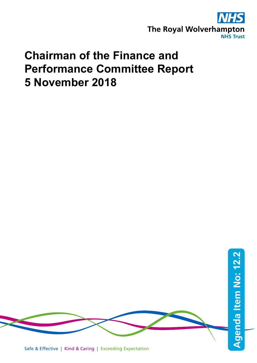

# **Chairman of the Finance and Performance Committee Report 5 November 2018**

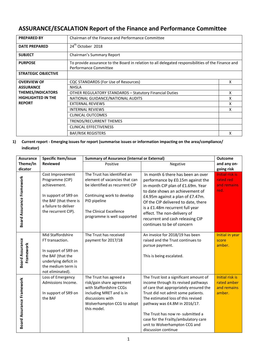## **ASSURANCE/ESCALATION Report of the Finance and Performance Committee**

| <b>PREPARED BY</b>                                                                         | Chairman of the Finance and Performance Committee                                                                           |   |  |
|--------------------------------------------------------------------------------------------|-----------------------------------------------------------------------------------------------------------------------------|---|--|
| <b>DATE PREPARED</b>                                                                       | 24 <sup>th</sup> October 2018                                                                                               |   |  |
| <b>SUBJECT</b>                                                                             | Chairman's Summary Report                                                                                                   |   |  |
| <b>PURPOSE</b>                                                                             | To provide assurance to the Board in relation to all delegated responsibilities of the Finance and<br>Performance Committee |   |  |
| <b>STRATEGIC OBJECTIVE</b>                                                                 |                                                                                                                             |   |  |
| <b>OVERVIEW OF</b>                                                                         | CQC STANDARDS (For Use of Resources)                                                                                        | x |  |
| <b>ASSURANCE</b>                                                                           | <b>NHSLA</b>                                                                                                                |   |  |
| <b>THEMES/INDICATORS</b><br><b>OTHER REGULATORY STANDARDS - Statutory Financial Duties</b> |                                                                                                                             | X |  |
| <b>HIGHLIGHTED IN THE</b><br>NATIONAL GUIDANCE/NATIONAL AUDITS                             |                                                                                                                             | x |  |
| <b>REPORT</b><br><b>EXTERNAL REVIEWS</b>                                                   |                                                                                                                             | x |  |
|                                                                                            | <b>INTERNAL REVIEWS</b>                                                                                                     | x |  |
|                                                                                            | <b>CLINICAL OUTCOMES</b>                                                                                                    |   |  |
|                                                                                            | TRENDS/RECURRENT THEMES                                                                                                     |   |  |
|                                                                                            | <b>CLINICAL EFFECTIVENESS</b>                                                                                               |   |  |
|                                                                                            | <b>BAF/RISK REGISTERS</b>                                                                                                   | x |  |

#### **1) Current report - Emerging issues for report (summarise issues or information impacting on the area/compliance/ indicator)**

| <b>Assurance</b>                    | Specific Item/issue                                                                                                                                  | <b>Summary of Assurance (internal or External)</b>                                                                                                                                                     | <b>Outcome</b>                                                                                                                                                                                                                                                                                                                                                            |                                                                |
|-------------------------------------|------------------------------------------------------------------------------------------------------------------------------------------------------|--------------------------------------------------------------------------------------------------------------------------------------------------------------------------------------------------------|---------------------------------------------------------------------------------------------------------------------------------------------------------------------------------------------------------------------------------------------------------------------------------------------------------------------------------------------------------------------------|----------------------------------------------------------------|
| Theme/In                            | <b>Reviewed</b>                                                                                                                                      | Positive                                                                                                                                                                                               | Negative                                                                                                                                                                                                                                                                                                                                                                  | and any on-                                                    |
| dicator                             |                                                                                                                                                      |                                                                                                                                                                                                        |                                                                                                                                                                                                                                                                                                                                                                           | going risk                                                     |
| Board Assurance Framework           | Cost Improvement<br>Programme (CIP)<br>achievement.<br>In support of SR9 on<br>the BAF (that there is<br>a failure to deliver<br>the recurrent CIP). | The Trust has identified an<br>element of vacancies that can<br>be identified as recurrent CIP<br>Continuing work to develop<br>PID pipeline<br>The Clinical Excellence<br>programme is well supported | In month 6 there has been an over<br>performance by £0.15m against the<br>in-month CIP plan of £1.69m. Year<br>to date shows an achievement of<br>£4.95m against a plan of £7.47m.<br>Of the CIP delivered to date, there<br>is a £1.48m recurrent full year<br>effect. The non-delivery of<br>recurrent and cash releasing CIP<br>continues to be of concern             | <b>Initial risk is</b><br>rated red<br>and remains<br>red.     |
| <b>Board Assurance</b><br>Framework | Mid Staffordshire<br>FT transaction.<br>In support of SR9 on<br>the BAF (that the<br>underlying deficit in<br>the medium term is<br>not eliminated). | The Trust has received<br>payment for 2017/18                                                                                                                                                          | An invoice for 2018/19 has been<br>raised and the Trust continues to<br>pursue payment.<br>This is being escalated.                                                                                                                                                                                                                                                       | Initial in year<br>score<br>amber.                             |
| <b>Board Assurance Framework</b>    | Loss of Emergency<br>Admissions Income.<br>In support of SR9 on<br>the BAF                                                                           | The Trust has agreed a<br>risk/gain share agreement<br>with Staffordshire CCGs<br>including MRET and is in<br>discussions with<br>Wolverhampton CCG to adopt<br>this model.                            | The Trust lost a significant amount of<br>income through its revised pathways<br>of care that appropriately ensured the<br>Trust did not admit some patients.<br>The estimated loss of this revised<br>pathway was £4.8M in 2016/17.<br>The Trust has now re- submitted a<br>case for the Frailty/ambulatory care<br>unit to Wolverhampton CCG and<br>discussion continue | <b>Initial risk is</b><br>rated amber<br>and remains<br>amber. |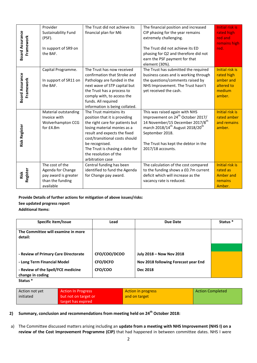|                                      | Provider<br>Sustainability Fund<br>(PSF).                                                               | The Trust did not achieve its<br>financial plan for M6           |                                                            |                   | The financial position and increased<br>CIP phasing for the year remains<br>extremely challenging.                          |                         | <b>Initial risk is</b><br>rated high<br>red and<br>remains high |
|--------------------------------------|---------------------------------------------------------------------------------------------------------|------------------------------------------------------------------|------------------------------------------------------------|-------------------|-----------------------------------------------------------------------------------------------------------------------------|-------------------------|-----------------------------------------------------------------|
| <b>Board Assurance</b><br>Framework  | In support of SR9 on<br>the BAF.                                                                        |                                                                  |                                                            |                   | The Trust did not achieve its ED<br>phasing for Q2 and therefore did not<br>earn the PSF payment for that<br>element (30%). |                         | red.                                                            |
|                                      | Capital Programme.                                                                                      |                                                                  | The Trust has now received<br>confirmation that Stroke and |                   | The Trust has submitted the required<br>business cases and is working through                                               |                         | Initial risk is<br>rated high                                   |
| <b>Board Assurance</b>               | In support of SR11 on                                                                                   |                                                                  | Pathology are funded in the                                |                   | the questions/comments raised by                                                                                            |                         | amber and                                                       |
| Framework                            | the BAF.                                                                                                |                                                                  | next wave of STP capital but<br>the Trust has a process to |                   | NHS Improvement. The Trust hasn't<br>yet received the cash.                                                                 |                         | altered to<br>medium                                            |
|                                      |                                                                                                         |                                                                  | comply with, to access the                                 |                   |                                                                                                                             |                         | amber.                                                          |
|                                      |                                                                                                         |                                                                  | funds. All required<br>information is being collated.      |                   |                                                                                                                             |                         |                                                                 |
|                                      | Material outstanding                                                                                    |                                                                  | The Trust maintains its                                    |                   | This was raised again with NHS                                                                                              |                         | <b>Initial risk is</b>                                          |
|                                      | Invoice with<br>Wolverhampton CCG                                                                       | position that it is providing<br>the right care for patients but |                                                            |                   | Improvement on 24 <sup>th</sup> October 2017/<br>14 November/15 December 2017/8 <sup>th</sup>                               |                         | rated amber<br>and remains                                      |
|                                      | for £4.8m                                                                                               |                                                                  | losing material monies as a                                |                   | march 2018/14 <sup>th</sup> August 2018/20 <sup>th</sup>                                                                    |                         | amber.                                                          |
| <b>Risk Register</b>                 |                                                                                                         | result and expects the fixed<br>cost/transitional costs should   |                                                            |                   | September 2018.                                                                                                             |                         |                                                                 |
|                                      |                                                                                                         | be recognised.                                                   |                                                            |                   | The Trust has kept the debtor in the                                                                                        |                         |                                                                 |
|                                      |                                                                                                         | The Trust is chasing a date for<br>the resolution of the         |                                                            | 2017/18 accounts. |                                                                                                                             |                         |                                                                 |
|                                      |                                                                                                         |                                                                  | arbitration case                                           |                   |                                                                                                                             |                         |                                                                 |
|                                      | The cost of the<br>Agenda for Change                                                                    | Central funding has been<br>identified to fund the Agenda        |                                                            |                   | The calculation of the cost compared<br>to the funding shows a £0.7m current                                                |                         | <b>Initial risk is</b><br>rated as                              |
| Register<br>Risk                     | pay award is greater                                                                                    | for Change pay award.                                            |                                                            |                   | deficit which will increase as the                                                                                          |                         | <b>Amber and</b>                                                |
|                                      | than the funding<br>available                                                                           |                                                                  |                                                            |                   | vacancy rate is reduced.                                                                                                    |                         | remains<br>Amber.                                               |
|                                      |                                                                                                         |                                                                  |                                                            |                   |                                                                                                                             |                         |                                                                 |
|                                      | Provide Details of further actions for mitigation of above issues/risks:<br>See updated progress report |                                                                  |                                                            |                   |                                                                                                                             |                         |                                                                 |
| <b>Additional Items:</b>             |                                                                                                         |                                                                  |                                                            |                   |                                                                                                                             |                         |                                                                 |
|                                      |                                                                                                         |                                                                  |                                                            |                   |                                                                                                                             |                         |                                                                 |
|                                      | Specific item/Issue                                                                                     |                                                                  | Lead                                                       |                   | <b>Due Date</b>                                                                                                             |                         | Status *                                                        |
| detail:                              | The Committee will examine in more                                                                      |                                                                  |                                                            |                   |                                                                                                                             |                         |                                                                 |
|                                      |                                                                                                         |                                                                  |                                                            |                   |                                                                                                                             |                         |                                                                 |
| - Review of Primary Care Directorate |                                                                                                         |                                                                  |                                                            |                   |                                                                                                                             |                         |                                                                 |
|                                      |                                                                                                         |                                                                  |                                                            |                   |                                                                                                                             |                         |                                                                 |
|                                      |                                                                                                         |                                                                  | CFO/COO/DCOO                                               |                   | July 2018 - Now Nov 2018                                                                                                    |                         |                                                                 |
| change in coding                     | - Long Term Financial Model<br>- Review of the Spell/FCE medicine                                       |                                                                  | <b>CFO/DCFO</b><br>CFO/COO                                 |                   | Nov 2018 following Forecast year End<br><b>Dec 2018</b>                                                                     |                         |                                                                 |
| Status <sup>*</sup>                  |                                                                                                         |                                                                  |                                                            |                   |                                                                                                                             |                         |                                                                 |
| Action not yet                       | <b>Action In Progress</b>                                                                               |                                                                  |                                                            |                   | <b>Action in progress</b>                                                                                                   | <b>Action Completed</b> |                                                                 |
| initiated                            | but not on target or                                                                                    |                                                                  | and on target                                              |                   |                                                                                                                             |                         |                                                                 |
|                                      | target has expired                                                                                      |                                                                  |                                                            |                   |                                                                                                                             |                         |                                                                 |
|                                      | Summary, conclusion and recommendations from meeting held on 24 <sup>th</sup> October 2018:             |                                                                  |                                                            |                   |                                                                                                                             |                         |                                                                 |
|                                      |                                                                                                         |                                                                  |                                                            |                   | The Committee discussed matters arising including an update from a meeting with NHS Improvement (NHS I) on a                |                         |                                                                 |

| Specific item/Issue                                    | Lead            | Due Date                             | Status <sup>*</sup> |
|--------------------------------------------------------|-----------------|--------------------------------------|---------------------|
| The Committee will examine in more<br>detail:          |                 |                                      |                     |
|                                                        |                 |                                      |                     |
| - Review of Primary Care Directorate                   | CFO/COO/DCOO    | July 2018 - Now Nov 2018             |                     |
| - Long Term Financial Model                            | <b>CFO/DCFO</b> | Nov 2018 following Forecast year End |                     |
| - Review of the Spell/FCE medicine<br>change in coding | CFO/COO         | <b>Dec 2018</b>                      |                     |
| Status <sup>*</sup>                                    |                 |                                      |                     |

| Action not yet | <b>Action In Progress</b> | Action in progress | <b>Action Completed</b> |
|----------------|---------------------------|--------------------|-------------------------|
| initiated      | but not on target or      | and on target      |                         |
|                | starget has expired       |                    |                         |

### **2) Summary, conclusion and recommendations from meeting held on 24th October 2018:**

a) The Committee discussed matters arising including an **update from a meeting with NHS Improvement (NHS I) on a**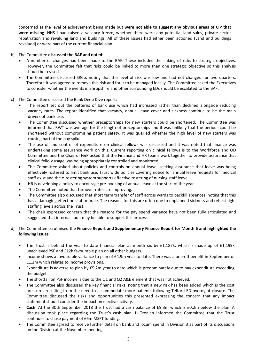concerned at the level of achievement being made b**ut were not able to suggest any obvious areas of CIP that were missing**. NHS I had raised a vacancy freeze, whether there were any potential land sales, private sector repatriation and revaluing land and buildings. All of these issues had either been actioned (Land and buildings revalued) or were part of the current financial plan.

#### b) The Committee **discussed the BAF and noted:**

- A number of changes had been made to the BAF. These included the linking of risks to strategic objectives. However, the Committee felt that risks could be linked to more than one strategic objective so this analysis should be revised.
- The Committee discussed SR6b, noting that the level of risk was low and had not changed for two quarters. Therefore it was agreed to remove this risk and for it to be managed locally. The Committee asked the Executives to consider whether the events in Shropshire and other surrounding EDs should be escalated to the BAF.

#### c) The Committee discussed the Bank Deep Dive report:

- The report set out the patterns of bank use which had increased rather than declined alongside reducing vacancy rates. The report identified that vacancy, annual leave cover and sickness continue to be the main drivers of bank use.
- The Committee discussed whether preceptorships for new starters could be shortened. The Committee was informed that RWT was average for the length of preceptorships and it was unlikely that the periods could be shortened without compromising patient safety. It was queried whether the high level of new starters was causing part of the pay spike.
- The use of and control of expenditure on clinical fellows was discussed and it was noted that finance was undertaking some assurance work on this. Current reporting on clinical fellows is to the Workforce and OD Committee and the Chair of F&P asked that the Finance and HR teams work together to provide assurance that clinical fellow usage was being appropriately controlled and monitored.
- The Committee asked about policies and controls on annual leave, seeking assurance that leave was being effectively rostered to limit bank use. Trust wide policies covering notice for annual leave requests for medical staff exist and the e-rostering system supports effective rostering of nursing staff leave.
- HR is developing a policy to encourage pre-booking of annual leave at the start of the year.
- The Committee noted that turnover rates are improving.
- The Committee also discussed that short term transfer of staff across wards to backfill absences, noting that this has a damaging effect on staff morale. The reasons for this are often due to unplanned sickness and reflect tight staffing levels across the Trust.
- The chair expressed concern that the reasons for the pay spend variance have not been fully articulated and suggested that internal audit may be able to support this process.

#### d) The Committee scrutinised the **Finance Report and Supplementary Finance Report for Month 6 and highlighted the following issues**:

- The Trust is behind the year to date financial plan at month six by £1,187k, which is made up of £1,199k unachieved PSF and £12k favourable plan on all other budgets.
- Income shows a favourable variance to plan of £4.9m year to date. There was a one-off benefit in September of £1.2m which relates to income provisions.
- Expenditure is adverse to plan by £5.2m year to date which is predominately due to pay expenditure exceeding the budget
- The shortfall on PSF income is due to the Q1 and Q2 A&E element that was not achieved.
- The Committee also discussed the key financial risks, noting that a new risk has been added which is the cost pressures resulting from the need to accommodate more patients following Telford ED overnight closure. The Committee discussed the risks and opportunities this presented expressing the concern that any impact statement should consider the impact on elective activity.
- **Cash:** At the 30th September 2018 the Trust had a cash balance of £9.3m which is £0.2m below the plan. A discussion took place regarding the Trust's cash plan. H Troalen informed the Committee that the Trust continues to chase payment of £6m MSFT funding.
- The Committee agreed to receive further detail on bank and locum spend in Division 3 as part of its discussions on the Division at the November meeting.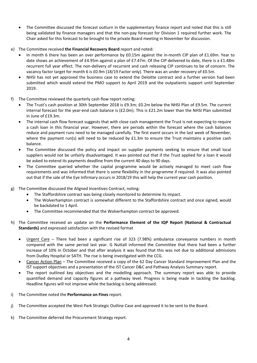- The Committee discussed the forecast outturn in the supplementary finance report and noted that this is still being validated by finance managers and that the non-pay forecast for Division 1 required further work. The Chair asked for this forecast to be brought to the private Board meeting in November for discussion.
- e) The Committee received **the Financial Recovery Board** report and noted:
	- In month 6 there has been an over performance by £0.15m against the in-month CIP plan of £1.69m. Year to date shows an achievement of £4.95m against a plan of £7.47m. Of the CIP delivered to date, there is a £1.48m recurrent full year effect. The non-delivery of recurrent and cash releasing CIP continues to be of concern. The vacancy factor target for month 6 is £0.9m (18/19 Factor only). There was an under recovery of £0.5m.
	- NHSI has not yet approved the business case to extend the Deloitte contract and a further version had been submitted which would extend the PMO support to April 2019 and the outpatients support until September 2019.
- f) The Committee reviewed the quarterly cash flow report noting:
	- The Trust's cash position at 30th September 2018 is £9.3m; £0.2m below the NHSI Plan of £9.5m. The current internal forecast for the year-end cash balance is (£2.0m). This is £21.2m lower than the NHSI Plan submitted in June of £19.3m.
	- The internal cash flow forecast suggests that with close cash management the Trust is not expecting to require a cash loan in this financial year. However, there are periods within the forecast where the cash balances reduce and payment runs need to be managed carefully. The first event occurs in the last week of November, where the payment run(s) will need to be reduced by £1.3m to ensure the Trust maintains a positive cash balance.
	- The Committee discussed the policy and impact on supplier payments seeking to ensure that small local suppliers would not be unfairly disadvantaged. It was pointed out that if the Trust applied for a loan it would be asked to extend its payments deadline from the current 40 days to 90 days.
	- The Committee queried whether the capital programme would be actively managed to meet cash flow requirements and was informed that there is some flexibility in the programme if required. It was also pointed out that if the sale of the Eye Infirmary occurs in 2018/19 this will help the current year cash position.
- g) The Committee discussed the Aligned Incentives Contract, noting:
	- The Staffordshire contract was being closely monitored to determine its impact.
	- The Wolverhampton contract is somewhat different to the Staffordshire contract and once signed, would be backdated to 1 April.
	- The Committee recommended that the Wolverhampton contract be approved.
- h) The Committee received an update on the **Performance Element of the IQP Report (National & Contractual Standards)** and expressed satisfaction with the revised format
	- Urgent Care There had been a significant rise of 323 (7.98%) ambulance conveyance numbers in month compared with the same period last year. G Nuttall informed the Committee that there had been a further increase of 10% in October and that after analysis it was found that this was not due to additional admissions from Dudley Hospital or SATH. The rise is being investigated with the CCG.
	- Cancer Action Plan The Committee received a copy of the 62 Day Cancer Standard Improvement Plan and the IST support objectives and a presentation of the IST Cancer D&C and Pathway Analysis Summary report.
	- The report outlined key objectives and the modelling approach. The summary report was able to provide quantified demand and capacity figures at a pathway level. Progress is being made in tackling the backlog. Headline figures will not improve while the backlog is being addressed.
- i) The Committee noted the **Performance on Fines** report.
- j) The Committee accepted the West Park Strategic Outline Case and approved it to be sent to the Board.
- k) The Committee deferred the Procurement Strategy report.